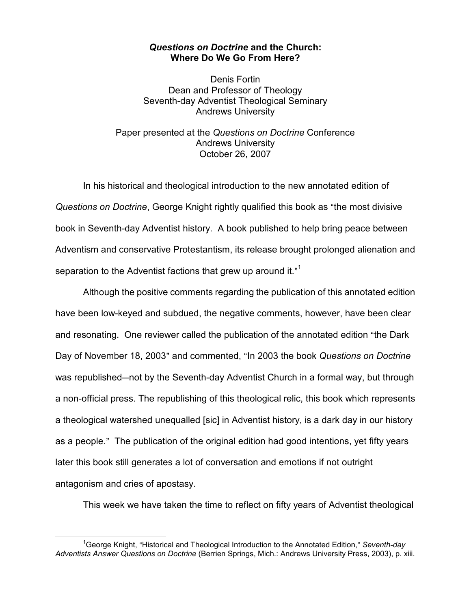## Questions on Doctrine and the Church: Where Do We Go From Here?

Denis Fortin Dean and Professor of Theology Seventh-day Adventist Theological Seminary Andrews University

Paper presented at the Questions on Doctrine Conference Andrews University October 26, 2007

In his historical and theological introduction to the new annotated edition of Questions on Doctrine, George Knight rightly qualified this book as "the most divisive book in Seventh-day Adventist history. A book published to help bring peace between Adventism and conservative Protestantism, its release brought prolonged alienation and separation to the Adventist factions that grew up around it."<sup>1</sup>

Although the positive comments regarding the publication of this annotated edition have been low-keyed and subdued, the negative comments, however, have been clear and resonating. One reviewer called the publication of the annotated edition "the Dark Day of November 18, 2003" and commented, "In 2003 the book Questions on Doctrine was republished—not by the Seventh-day Adventist Church in a formal way, but through a non-official press. The republishing of this theological relic, this book which represents a theological watershed unequalled [sic] in Adventist history, is a dark day in our history as a people." The publication of the original edition had good intentions, yet fifty years later this book still generates a lot of conversation and emotions if not outright antagonism and cries of apostasy.

This week we have taken the time to reflect on fifty years of Adventist theological

l.

<sup>&</sup>lt;sup>1</sup>George Knight, "Historical and Theological Introduction to the Annotated Edition," Seventh-day Adventists Answer Questions on Doctrine (Berrien Springs, Mich.: Andrews University Press, 2003), p. xiii.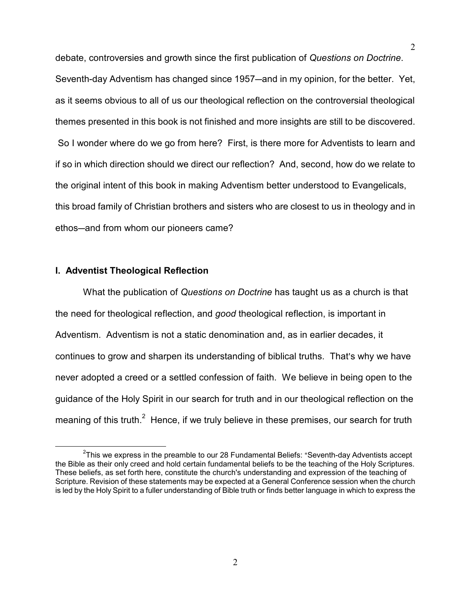debate, controversies and growth since the first publication of Questions on Doctrine. Seventh-day Adventism has changed since 1957—and in my opinion, for the better. Yet, as it seems obvious to all of us our theological reflection on the controversial theological themes presented in this book is not finished and more insights are still to be discovered. So I wonder where do we go from here? First, is there more for Adventists to learn and if so in which direction should we direct our reflection? And, second, how do we relate to the original intent of this book in making Adventism better understood to Evangelicals, this broad family of Christian brothers and sisters who are closest to us in theology and in ethos-and from whom our pioneers came?

## I. Adventist Theological Reflection

 $\overline{a}$ 

What the publication of Questions on Doctrine has taught us as a church is that the need for theological reflection, and good theological reflection, is important in Adventism. Adventism is not a static denomination and, as in earlier decades, it continues to grow and sharpen its understanding of biblical truths. That's why we have never adopted a creed or a settled confession of faith. We believe in being open to the guidance of the Holy Spirit in our search for truth and in our theological reflection on the meaning of this truth.<sup>2</sup> Hence, if we truly believe in these premises, our search for truth

<sup>&</sup>lt;sup>2</sup>This we express in the preamble to our 28 Fundamental Beliefs: "Seventh-day Adventists accept the Bible as their only creed and hold certain fundamental beliefs to be the teaching of the Holy Scriptures. These beliefs, as set forth here, constitute the church's understanding and expression of the teaching of Scripture. Revision of these statements may be expected at a General Conference session when the church is led by the Holy Spirit to a fuller understanding of Bible truth or finds better language in which to express the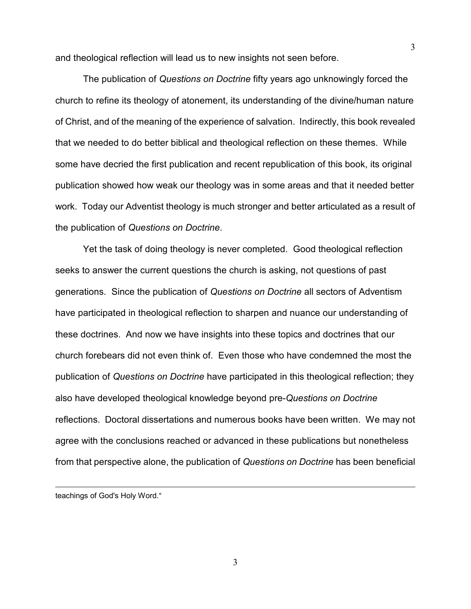and theological reflection will lead us to new insights not seen before.

The publication of Questions on Doctrine fifty years ago unknowingly forced the church to refine its theology of atonement, its understanding of the divine/human nature of Christ, and of the meaning of the experience of salvation. Indirectly, this book revealed that we needed to do better biblical and theological reflection on these themes. While some have decried the first publication and recent republication of this book, its original publication showed how weak our theology was in some areas and that it needed better work. Today our Adventist theology is much stronger and better articulated as a result of the publication of Questions on Doctrine.

Yet the task of doing theology is never completed. Good theological reflection seeks to answer the current questions the church is asking, not questions of past generations. Since the publication of Questions on Doctrine all sectors of Adventism have participated in theological reflection to sharpen and nuance our understanding of these doctrines. And now we have insights into these topics and doctrines that our church forebears did not even think of. Even those who have condemned the most the publication of Questions on Doctrine have participated in this theological reflection; they also have developed theological knowledge beyond pre-Questions on Doctrine reflections. Doctoral dissertations and numerous books have been written. We may not agree with the conclusions reached or advanced in these publications but nonetheless from that perspective alone, the publication of Questions on Doctrine has been beneficial

teachings of God's Holy Word."

l.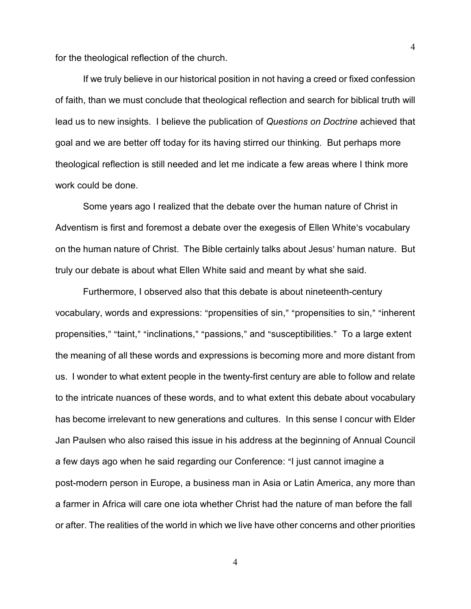for the theological reflection of the church.

If we truly believe in our historical position in not having a creed or fixed confession of faith, than we must conclude that theological reflection and search for biblical truth will lead us to new insights. I believe the publication of Questions on Doctrine achieved that goal and we are better off today for its having stirred our thinking. But perhaps more theological reflection is still needed and let me indicate a few areas where I think more work could be done.

Some years ago I realized that the debate over the human nature of Christ in Adventism is first and foremost a debate over the exegesis of Ellen White's vocabulary on the human nature of Christ. The Bible certainly talks about Jesus' human nature. But truly our debate is about what Ellen White said and meant by what she said.

Furthermore, I observed also that this debate is about nineteenth-century vocabulary, words and expressions: "propensities of sin," "propensities to sin," "inherent propensities," "taint," "inclinations," "passions," and "susceptibilities." To a large extent the meaning of all these words and expressions is becoming more and more distant from us. I wonder to what extent people in the twenty-first century are able to follow and relate to the intricate nuances of these words, and to what extent this debate about vocabulary has become irrelevant to new generations and cultures. In this sense I concur with Elder Jan Paulsen who also raised this issue in his address at the beginning of Annual Council a few days ago when he said regarding our Conference: "I just cannot imagine a post-modern person in Europe, a business man in Asia or Latin America, any more than a farmer in Africa will care one iota whether Christ had the nature of man before the fall or after. The realities of the world in which we live have other concerns and other priorities

4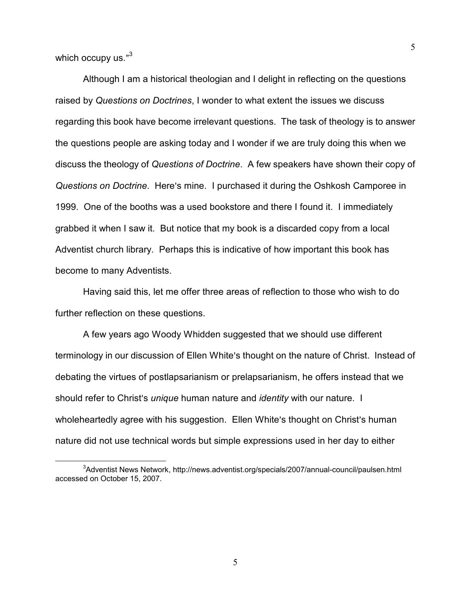which occupy us." $^3$ 

 $\overline{a}$ 

Although I am a historical theologian and I delight in reflecting on the questions raised by Questions on Doctrines, I wonder to what extent the issues we discuss regarding this book have become irrelevant questions. The task of theology is to answer the questions people are asking today and I wonder if we are truly doing this when we discuss the theology of Questions of Doctrine. A few speakers have shown their copy of Questions on Doctrine. Here's mine. I purchased it during the Oshkosh Camporee in 1999. One of the booths was a used bookstore and there I found it. I immediately grabbed it when I saw it. But notice that my book is a discarded copy from a local Adventist church library. Perhaps this is indicative of how important this book has become to many Adventists.

Having said this, let me offer three areas of reflection to those who wish to do further reflection on these questions.

A few years ago Woody Whidden suggested that we should use different terminology in our discussion of Ellen White's thought on the nature of Christ. Instead of debating the virtues of postlapsarianism or prelapsarianism, he offers instead that we should refer to Christ's *unique* human nature and *identity* with our nature. I wholeheartedly agree with his suggestion. Ellen White's thought on Christ's human nature did not use technical words but simple expressions used in her day to either

<sup>&</sup>lt;sup>3</sup>Adventist News Network, http://news.adventist.org/specials/2007/annual-council/paulsen.html accessed on October 15, 2007.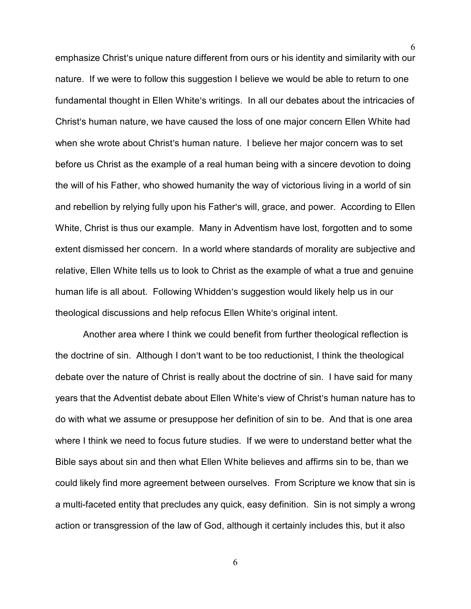emphasize Christ's unique nature different from ours or his identity and similarity with our nature. If we were to follow this suggestion I believe we would be able to return to one fundamental thought in Ellen White's writings. In all our debates about the intricacies of Christ's human nature, we have caused the loss of one major concern Ellen White had when she wrote about Christ's human nature. I believe her major concern was to set before us Christ as the example of a real human being with a sincere devotion to doing the will of his Father, who showed humanity the way of victorious living in a world of sin and rebellion by relying fully upon his Father's will, grace, and power. According to Ellen White, Christ is thus our example. Many in Adventism have lost, forgotten and to some extent dismissed her concern. In a world where standards of morality are subjective and relative, Ellen White tells us to look to Christ as the example of what a true and genuine human life is all about. Following Whidden's suggestion would likely help us in our theological discussions and help refocus Ellen White's original intent.

6

Another area where I think we could benefit from further theological reflection is the doctrine of sin. Although I don't want to be too reductionist, I think the theological debate over the nature of Christ is really about the doctrine of sin. I have said for many years that the Adventist debate about Ellen White's view of Christ's human nature has to do with what we assume or presuppose her definition of sin to be. And that is one area where I think we need to focus future studies. If we were to understand better what the Bible says about sin and then what Ellen White believes and affirms sin to be, than we could likely find more agreement between ourselves. From Scripture we know that sin is a multi-faceted entity that precludes any quick, easy definition. Sin is not simply a wrong action or transgression of the law of God, although it certainly includes this, but it also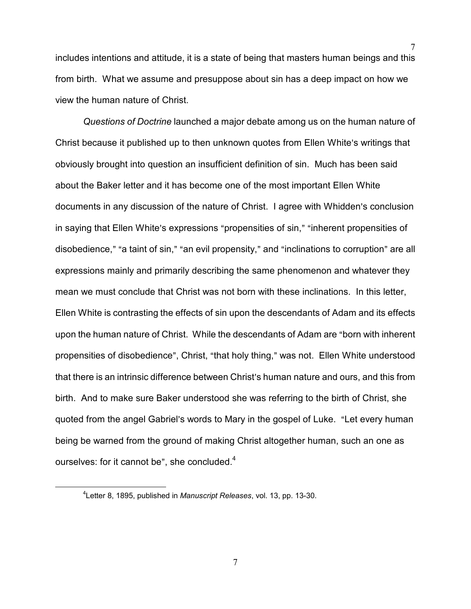includes intentions and attitude, it is a state of being that masters human beings and this from birth. What we assume and presuppose about sin has a deep impact on how we view the human nature of Christ.

7

Questions of Doctrine launched a major debate among us on the human nature of Christ because it published up to then unknown quotes from Ellen White's writings that obviously brought into question an insufficient definition of sin. Much has been said about the Baker letter and it has become one of the most important Ellen White documents in any discussion of the nature of Christ. I agree with Whidden's conclusion in saying that Ellen White's expressions "propensities of sin," "inherent propensities of disobedience," "a taint of sin," "an evil propensity," and "inclinations to corruption" are all expressions mainly and primarily describing the same phenomenon and whatever they mean we must conclude that Christ was not born with these inclinations. In this letter, Ellen White is contrasting the effects of sin upon the descendants of Adam and its effects upon the human nature of Christ. While the descendants of Adam are "born with inherent propensities of disobedience", Christ, "that holy thing," was not. Ellen White understood that there is an intrinsic difference between Christ's human nature and ours, and this from birth. And to make sure Baker understood she was referring to the birth of Christ, she quoted from the angel Gabriel's words to Mary in the gospel of Luke. "Let every human being be warned from the ground of making Christ altogether human, such an one as ourselves: for it cannot be", she concluded. $4$ 

l.

<sup>&</sup>lt;sup>4</sup>Letter 8, 1895, published in Manuscript Releases, vol. 13, pp. 13-30.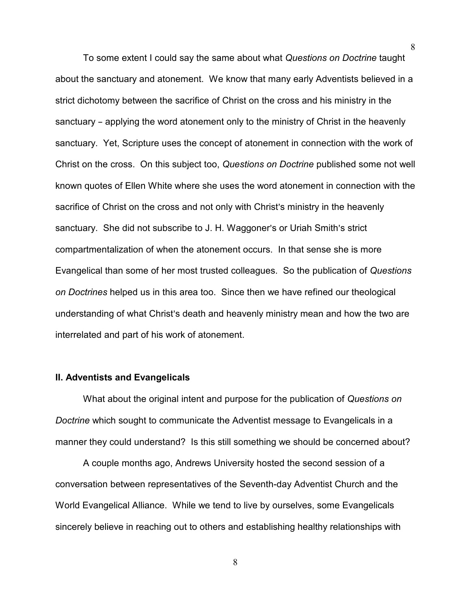To some extent I could say the same about what Questions on Doctrine taught about the sanctuary and atonement. We know that many early Adventists believed in a strict dichotomy between the sacrifice of Christ on the cross and his ministry in the sanctuary – applying the word atonement only to the ministry of Christ in the heavenly sanctuary. Yet, Scripture uses the concept of atonement in connection with the work of Christ on the cross. On this subject too, Questions on Doctrine published some not well known quotes of Ellen White where she uses the word atonement in connection with the sacrifice of Christ on the cross and not only with Christ's ministry in the heavenly sanctuary. She did not subscribe to J. H. Waggoner's or Uriah Smith's strict compartmentalization of when the atonement occurs. In that sense she is more Evangelical than some of her most trusted colleagues. So the publication of Questions on Doctrines helped us in this area too. Since then we have refined our theological understanding of what Christ's death and heavenly ministry mean and how the two are interrelated and part of his work of atonement.

## II. Adventists and Evangelicals

What about the original intent and purpose for the publication of Questions on Doctrine which sought to communicate the Adventist message to Evangelicals in a manner they could understand? Is this still something we should be concerned about?

A couple months ago, Andrews University hosted the second session of a conversation between representatives of the Seventh-day Adventist Church and the World Evangelical Alliance. While we tend to live by ourselves, some Evangelicals sincerely believe in reaching out to others and establishing healthy relationships with

8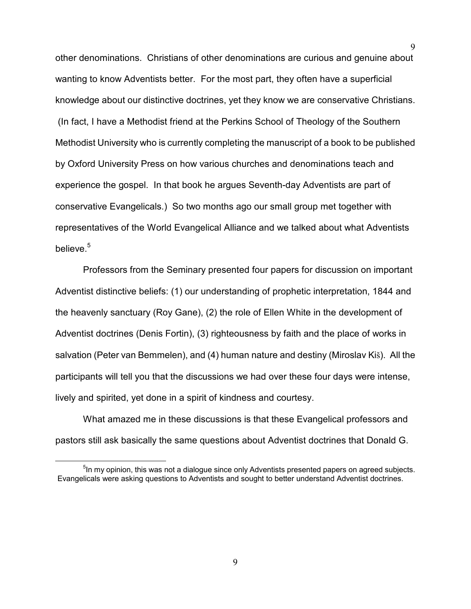other denominations. Christians of other denominations are curious and genuine about wanting to know Adventists better. For the most part, they often have a superficial knowledge about our distinctive doctrines, yet they know we are conservative Christians. (In fact, I have a Methodist friend at the Perkins School of Theology of the Southern Methodist University who is currently completing the manuscript of a book to be published by Oxford University Press on how various churches and denominations teach and experience the gospel. In that book he argues Seventh-day Adventists are part of conservative Evangelicals.) So two months ago our small group met together with representatives of the World Evangelical Alliance and we talked about what Adventists believe.<sup>5</sup>

Professors from the Seminary presented four papers for discussion on important Adventist distinctive beliefs: (1) our understanding of prophetic interpretation, 1844 and the heavenly sanctuary (Roy Gane), (2) the role of Ellen White in the development of Adventist doctrines (Denis Fortin), (3) righteousness by faith and the place of works in salvation (Peter van Bemmelen), and (4) human nature and destiny (Miroslav Kiš). All the participants will tell you that the discussions we had over these four days were intense, lively and spirited, yet done in a spirit of kindness and courtesy.

What amazed me in these discussions is that these Evangelical professors and pastors still ask basically the same questions about Adventist doctrines that Donald G.

 $\overline{a}$ 

<sup>&</sup>lt;sup>5</sup>In my opinion, this was not a dialogue since only Adventists presented papers on agreed subjects. Evangelicals were asking questions to Adventists and sought to better understand Adventist doctrines.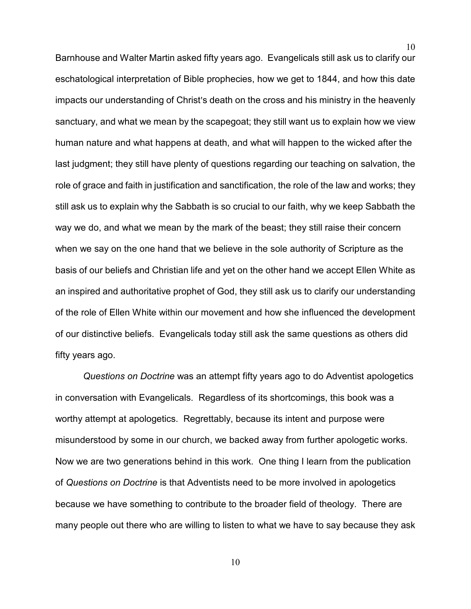Barnhouse and Walter Martin asked fifty years ago. Evangelicals still ask us to clarify our eschatological interpretation of Bible prophecies, how we get to 1844, and how this date impacts our understanding of Christ's death on the cross and his ministry in the heavenly sanctuary, and what we mean by the scapegoat; they still want us to explain how we view human nature and what happens at death, and what will happen to the wicked after the last judgment; they still have plenty of questions regarding our teaching on salvation, the role of grace and faith in justification and sanctification, the role of the law and works; they still ask us to explain why the Sabbath is so crucial to our faith, why we keep Sabbath the way we do, and what we mean by the mark of the beast; they still raise their concern when we say on the one hand that we believe in the sole authority of Scripture as the basis of our beliefs and Christian life and yet on the other hand we accept Ellen White as an inspired and authoritative prophet of God, they still ask us to clarify our understanding of the role of Ellen White within our movement and how she influenced the development of our distinctive beliefs. Evangelicals today still ask the same questions as others did fifty years ago.

10

Questions on Doctrine was an attempt fifty years ago to do Adventist apologetics in conversation with Evangelicals. Regardless of its shortcomings, this book was a worthy attempt at apologetics. Regrettably, because its intent and purpose were misunderstood by some in our church, we backed away from further apologetic works. Now we are two generations behind in this work. One thing I learn from the publication of Questions on Doctrine is that Adventists need to be more involved in apologetics because we have something to contribute to the broader field of theology. There are many people out there who are willing to listen to what we have to say because they ask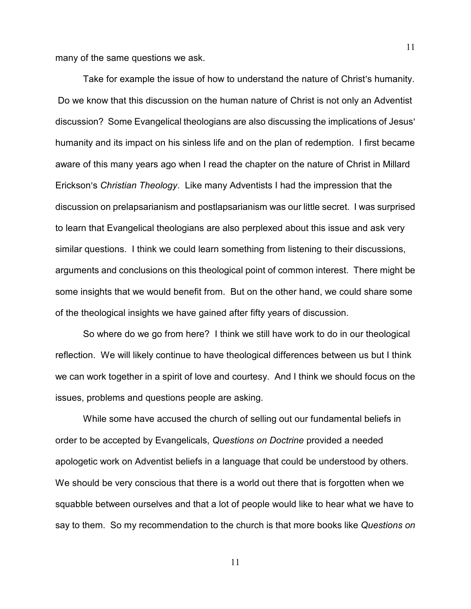many of the same questions we ask.

Take for example the issue of how to understand the nature of Christ's humanity. Do we know that this discussion on the human nature of Christ is not only an Adventist discussion? Some Evangelical theologians are also discussing the implications of Jesus' humanity and its impact on his sinless life and on the plan of redemption. I first became aware of this many years ago when I read the chapter on the nature of Christ in Millard Erickson's Christian Theology. Like many Adventists I had the impression that the discussion on prelapsarianism and postlapsarianism was our little secret. I was surprised to learn that Evangelical theologians are also perplexed about this issue and ask very similar questions. I think we could learn something from listening to their discussions, arguments and conclusions on this theological point of common interest. There might be some insights that we would benefit from. But on the other hand, we could share some of the theological insights we have gained after fifty years of discussion.

So where do we go from here? I think we still have work to do in our theological reflection. We will likely continue to have theological differences between us but I think we can work together in a spirit of love and courtesy. And I think we should focus on the issues, problems and questions people are asking.

While some have accused the church of selling out our fundamental beliefs in order to be accepted by Evangelicals, Questions on Doctrine provided a needed apologetic work on Adventist beliefs in a language that could be understood by others. We should be very conscious that there is a world out there that is forgotten when we squabble between ourselves and that a lot of people would like to hear what we have to say to them. So my recommendation to the church is that more books like Questions on